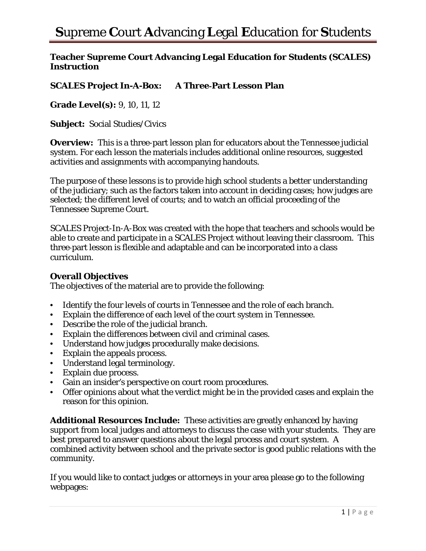### **Teacher Supreme Court Advancing Legal Education for Students (SCALES) Instruction**

## **SCALES Project In-A-Box: A Three**‐**Part Lesson Plan**

**Grade Level(s):** 9, 10, 11, 12

**Subject:** Social Studies/Civics

**Overview:** This is a three-part lesson plan for educators about the Tennessee judicial system. For each lesson the materials includes additional online resources, suggested activities and assignments with accompanying handouts.

The purpose of these lessons is to provide high school students a better understanding of the judiciary; such as the factors taken into account in deciding cases; how judges are selected; the different level of courts; and to watch an official proceeding of the Tennessee Supreme Court.

SCALES Project-In-A-Box was created with the hope that teachers and schools would be able to create and participate in a SCALES Project without leaving their classroom. This three‐part lesson is flexible and adaptable and can be incorporated into a class curriculum.

#### **Overall Objectives**

The objectives of the material are to provide the following:

- Identify the four levels of courts in Tennessee and the role of each branch.
- Explain the difference of each level of the court system in Tennessee.
- Describe the role of the judicial branch.
- Explain the differences between civil and criminal cases.
- Understand how judges procedurally make decisions.
- Explain the appeals process.
- Understand legal terminology.
- Explain due process.
- Gain an insider's perspective on court room procedures.
- Offer opinions about what the verdict might be in the provided cases and explain the reason for this opinion.

**Additional Resources Include:** These activities are greatly enhanced by having support from local judges and attorneys to discuss the case with your students. They are best prepared to answer questions about the legal process and court system. A combined activity between school and the private sector is good public relations with the community.

If you would like to contact judges or attorneys in your area please go to the following webpages: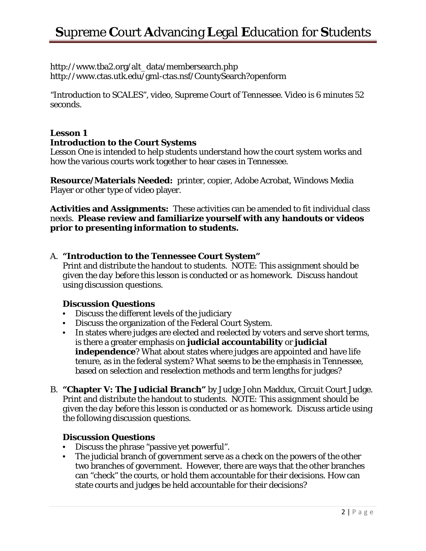http://www.tba2.org/alt\_data/membersearch.php http://www.ctas.utk.edu/gml-ctas.nsf/CountySearch?openform

"Introduction to SCALES", video, Supreme Court of Tennessee. Video is 6 minutes 52 seconds.

## **Lesson 1 Introduction to the Court Systems**

Lesson One is intended to help students understand how the court system works and how the various courts work together to hear cases in Tennessee.

**Resource/Materials Needed:** printer, copier, Adobe Acrobat, Windows Media Player or other type of video player.

**Activities and Assignments:** These activities can be amended to fit individual class needs. **Please review and familiarize yourself with any handouts or videos prior to presenting information to students.** 

### A. **"Introduction to the Tennessee Court System"**

Print and distribute the handout to students. *NOTE: This assignment should be given the day before this lesson is conducted or as homework.* Discuss handout using discussion questions.

### **Discussion Questions**

- Discuss the different levels of the judiciary
- Discuss the organization of the Federal Court System.
- In states where judges are elected and reelected by voters and serve short terms, is there a greater emphasis on **judicial accountability** or **judicial independence**? What about states where judges are appointed and have life tenure, as in the federal system? What seems to be the emphasis in Tennessee, based on selection and reselection methods and term lengths for judges?
- B. **"Chapter V: The Judicial Branch"** by Judge John Maddux, Circuit Court Judge. Print and distribute the handout to students. *NOTE: This assignment should be given the day before this lesson is conducted or as homework.* Discuss article using the following discussion questions.

### **Discussion Questions**

- Discuss the phrase "passive yet powerful".
- The judicial branch of government serve as a check on the powers of the other two branches of government. However, there are ways that the other branches can "check" the courts, or hold them accountable for their decisions. How can state courts and judges be held accountable for their decisions?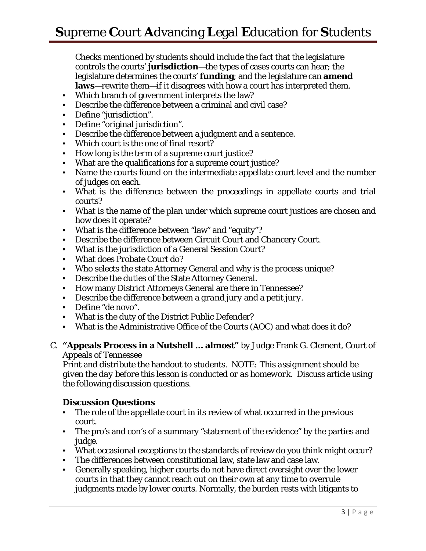# **S**upreme **C**ourt **A**dvancing **L**egal **E**ducation for **S**tudents

Checks mentioned by students should include the fact that the legislature controls the courts' **jurisdiction**—the types of cases courts can hear; the legislature determines the courts' **funding**; and the legislature can **amend laws**—rewrite them—if it disagrees with how a court has interpreted them.

- Which branch of government interprets the law?
- Describe the difference between a criminal and civil case?
- Define "jurisdiction".
- Define "original jurisdiction".
- Describe the difference between a judgment and a sentence.
- Which court is the one of final resort?
- How long is the term of a supreme court justice?
- What are the qualifications for a supreme court justice?
- Name the courts found on the intermediate appellate court level and the number of judges on each.
- What is the difference between the proceedings in appellate courts and trial courts?
- What is the name of the plan under which supreme court justices are chosen and how does it operate?
- What is the difference between "law" and "equity"?
- Describe the difference between Circuit Court and Chancery Court.
- What is the jurisdiction of a General Session Court?
- What does Probate Court do?
- Who selects the state Attorney General and why is the process unique?
- Describe the duties of the State Attorney General.
- How many District Attorneys General are there in Tennessee?
- Describe the difference between a *grand jury* and a *petit jury.*
- Define "de novo".
- What is the duty of the District Public Defender?
- What is the Administrative Office of the Courts (AOC) and what does it do?
- C. **"Appeals Process in a Nutshell … almost"** by Judge Frank G. Clement, Court of Appeals of Tennessee

Print and distribute the handout to students. *NOTE: This assignment should be given the day before this lesson is conducted or as homework.* Discuss article using the following discussion questions.

#### **Discussion Questions**

- The role of the appellate court in its review of what occurred in the previous court.
- The pro's and con's of a summary "statement of the evidence" by the parties and judge.
- What occasional exceptions to the standards of review do you think might occur?
- The differences between constitutional law, state law and case law.
- Generally speaking, higher courts do not have direct oversight over the lower courts in that they cannot reach out on their own at any time to overrule judgments made by lower courts. Normally, the burden rests with litigants to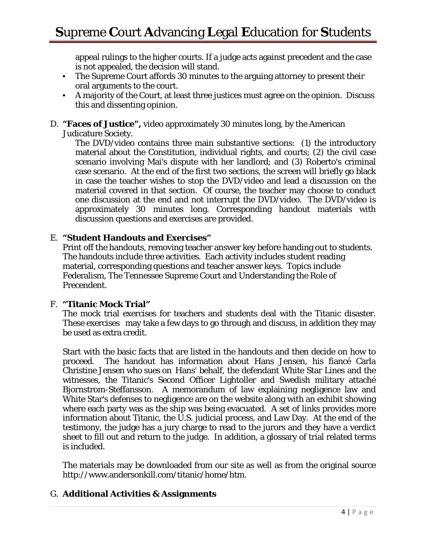appeal rulings to the higher courts. If a judge acts against precedent and the case is not appealed, the decision will stand.

- The Supreme Court affords 30 minutes to the arguing attorney to present their oral arguments to the court.
- A majority of the Court, at least three justices must agree on the opinion. Discuss this and dissenting opinion.
- D. **"Faces of Justice",** video approximately 30 minutes long, by the American Judicature Society.

The DVD/video contains three main substantive sections: (1) the introductory material about the Constitution, individual rights, and courts; (2) the civil case scenario involving Mai's dispute with her landlord; and (3) Roberto's criminal case scenario. At the end of the first two sections, the screen will briefly go black in case the teacher wishes to stop the DVD/video and lead a discussion on the material covered in that section. Of course, the teacher may choose to conduct one discussion at the end and not interrupt the DVD/video. The DVD/video is approximately 30 minutes long. Corresponding handout materials with discussion questions and exercises are provided.

### E. **"Student Handouts and Exercises"**

Print off the handouts, removing teacher answer key before handing out to students. The handouts include three activities. Each activity includes student reading material, corresponding questions and teacher answer keys. Topics include Federalism, The Tennessee Supreme Court and Understanding the Role of Precendent.

### F. **"Titanic Mock Trial"**

The mock trial exercises for teachers and students deal with the Titanic disaster. These exercises may take a few days to go through and discuss, in addition they may be used as extra credit.

Start with the basic facts that are listed in the handouts and then decide on how to proceed. The handout has information about Hans Jensen, his fiancé Carla Christine Jensen who sues on Hans' behalf, the defendant White Star Lines and the witnesses, the Titanic's Second Officer Lightoller and Swedish military attaché Bjornstrom-Steffansson. A memorandum of law explaining negligence law and White Star's defenses to negligence are on the website along with an exhibit showing where each party was as the ship was being evacuated. A set of links provides more information about Titanic, the U.S. judicial process, and Law Day. At the end of the testimony, the judge has a jury charge to read to the jurors and they have a verdict sheet to fill out and return to the judge. In addition, a glossary of trial related terms is included.

The materials may be downloaded from our site as well as from the original source http://www.andersonkill.com/titanic/home/htm.

### G. **Additional Activities & Assignments**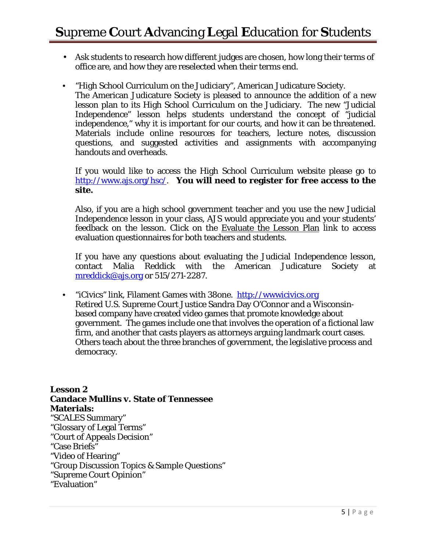- Ask students to research how different judges are chosen, how long their terms of office are, and how they are reselected when their terms end.
- "High School Curriculum on the Judiciary", American Judicature Society. The American Judicature Society is pleased to announce the addition of a new lesson plan to its High School Curriculum on the Judiciary. The new "Judicial Independence" lesson helps students understand the concept of "judicial independence," why it is important for our courts, and how it can be threatened. Materials include online resources for teachers, lecture notes, discussion questions, and suggested activities and assignments with accompanying handouts and overheads.

If you would like to access the High School Curriculum website please go to http://www.ajs.org/hsc/. **You will need to register for free access to the site.** 

Also, if you are a high school government teacher and you use the new Judicial Independence lesson in your class, AJS would appreciate you and your students' feedback on the lesson. Click on the Evaluate the Lesson Plan link to access evaluation questionnaires for both teachers and students.

If you have any questions about evaluating the Judicial Independence lesson, contact Malia Reddick with the American Judicature Society at mreddick@ajs.org or 515/271-2287.

• "iCivics" link, Filament Games with 38one. http://wwwicivics.org Retired U.S. Supreme Court Justice Sandra Day O'Connor and a Wisconsinbased company have created video games that promote knowledge about government. The games include one that involves the operation of a fictional law firm, and another that casts players as attorneys arguing landmark court cases. Others teach about the three branches of government, the legislative process and democracy.

### **Lesson 2 Candace Mullins v. State of Tennessee Materials:**  "SCALES Summary" "Glossary of Legal Terms" "Court of Appeals Decision" "Case Briefs"

"Video of Hearing"

"Group Discussion Topics & Sample Questions"

"Supreme Court Opinion"

```
"Evaluation"
```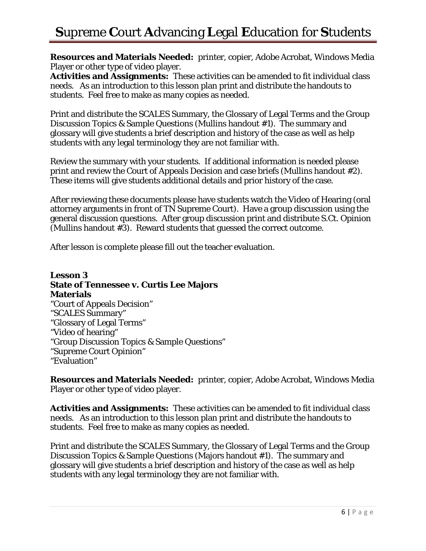# **S**upreme **C**ourt **A**dvancing **L**egal **E**ducation for **S**tudents

**Resources and Materials Needed:** printer, copier, Adobe Acrobat, Windows Media Player or other type of video player.

**Activities and Assignments:** These activities can be amended to fit individual class needs. As an introduction to this lesson plan print and distribute the handouts to students. Feel free to make as many copies as needed.

Print and distribute the SCALES Summary, the Glossary of Legal Terms and the Group Discussion Topics & Sample Questions (Mullins handout #1). The summary and glossary will give students a brief description and history of the case as well as help students with any legal terminology they are not familiar with.

Review the summary with your students. If additional information is needed please print and review the Court of Appeals Decision and case briefs (Mullins handout #2). These items will give students additional details and prior history of the case.

After reviewing these documents please have students watch the Video of Hearing (oral attorney arguments in front of TN Supreme Court). Have a group discussion using the general discussion questions. After group discussion print and distribute S.Ct. Opinion (Mullins handout #3). Reward students that guessed the correct outcome.

After lesson is complete please fill out the teacher evaluation.

**Lesson 3 State of Tennessee v. Curtis Lee Majors Materials**  "Court of Appeals Decision" "SCALES Summary" "Glossary of Legal Terms" "Video of hearing" "Group Discussion Topics & Sample Questions" "Supreme Court Opinion" "Evaluation"

**Resources and Materials Needed:** printer, copier, Adobe Acrobat, Windows Media Player or other type of video player.

**Activities and Assignments:** These activities can be amended to fit individual class needs. As an introduction to this lesson plan print and distribute the handouts to students. Feel free to make as many copies as needed.

Print and distribute the SCALES Summary, the Glossary of Legal Terms and the Group Discussion Topics & Sample Questions (Majors handout #1). The summary and glossary will give students a brief description and history of the case as well as help students with any legal terminology they are not familiar with.